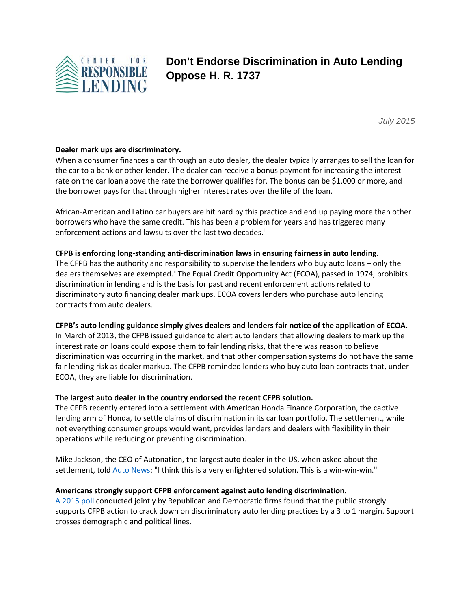

# **Don't Endorse Discrimination in Auto Lending Oppose H. R. 1737**

*July 2015*

### **Dealer mark ups are discriminatory.**

When a consumer finances a car through an auto dealer, the dealer typically arranges to sell the loan for the car to a bank or other lender. The dealer can receive a bonus payment for increasing the interest rate on the car loan above the rate the borrower qualifies for. The bonus can be \$1,000 or more, and the borrower pays for that through higher interest rates over the life of the loan.

African-American and Latino car buyers are hit hard by this practice and end up paying more than other borrowers who have the same credit. This has been a problem for years and has triggered many enforcement actions and lawsuits over the last two decades.<sup>i</sup>

#### **CFPB is enforcing long-standing anti-discrimination laws in ensuring fairness in auto lending.**

The CFPB has the authority and responsibility to supervise the lenders who buy auto loans – only the dealers themselves are exempted.<sup>ii</sup> The Equal Credit Opportunity Act (ECOA), passed in 1974, prohibits discrimination in lending and is the basis for past and recent enforcement actions related to discriminatory auto financing dealer mark ups. ECOA covers lenders who purchase auto lending contracts from auto dealers.

#### **CFPB's auto lending guidance simply gives dealers and lenders fair notice of the application of ECOA.**

In March of 2013, the CFPB issued guidance to alert auto lenders that allowing dealers to mark up the interest rate on loans could expose them to fair lending risks, that there was reason to believe discrimination was occurring in the market, and that other compensation systems do not have the same fair lending risk as dealer markup. The CFPB reminded lenders who buy auto loan contracts that, under ECOA, they are liable for discrimination.

#### **The largest auto dealer in the country endorsed the recent CFPB solution.**

The CFPB recently entered into a settlement with American Honda Finance Corporation, the captive lending arm of Honda, to settle claims of discrimination in its car loan portfolio. The settlement, while not everything consumer groups would want, provides lenders and dealers with flexibility in their operations while reducing or preventing discrimination.

Mike Jackson, the CEO of Autonation, the largest auto dealer in the US, when asked about the settlement, tol[d Auto News:](http://www.autonews.com/article/20150720/FINANCE_AND_INSURANCE/307209963/autonation-ceo-endorses-cfpb-honda-finance-pact) "I think this is a very enlightened solution. This is a win-win-win."

#### **Americans strongly support CFPB enforcement against auto lending discrimination.**

[A 2015 poll](http://www.responsiblelending.org/media-center/press-releases/Memo-CRL-Bipartisan-f-012215.pdf) conducted jointly by Republican and Democratic firms found that the public strongly supports CFPB action to crack down on discriminatory auto lending practices by a 3 to 1 margin. Support crosses demographic and political lines.